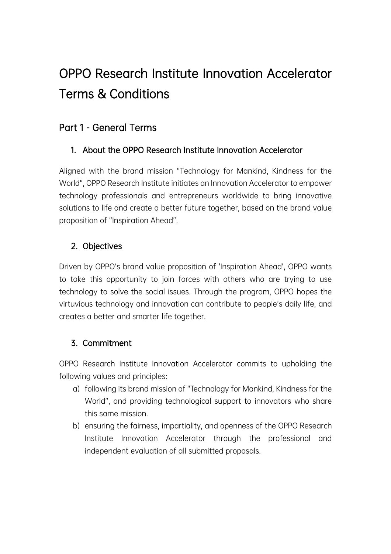# OPPO Research Institute Innovation Accelerator Terms & Conditions

## Part 1 - General Terms

## 1. About the OPPO Research Institute Innovation Accelerator

Aligned with the brand mission "Technology for Mankind, Kindness for the World", OPPO Research Institute initiates an Innovation Accelerator to empower technology professionals and entrepreneurs worldwide to bring innovative solutions to life and create a better future together, based on the brand value proposition of "Inspiration Ahead".

## 2. Objectives

Driven by OPPO's brand value proposition of 'Inspiration Ahead', OPPO wants to take this opportunity to join forces with others who are trying to use technology to solve the social issues. Through the program, OPPO hopes the virtuvious technology and innovation can contribute to people's daily life, and creates a better and smarter life together.

### 3. Commitment

OPPO Research Institute Innovation Accelerator commits to upholding the following values and principles:

- a) following its brand mission of "Technology for Mankind, Kindness for the World", and providing technological support to innovators who share this same mission.
- b) ensuring the fairness, impartiality, and openness of the OPPO Research Institute Innovation Accelerator through the professional and independent evaluation of all submitted proposals.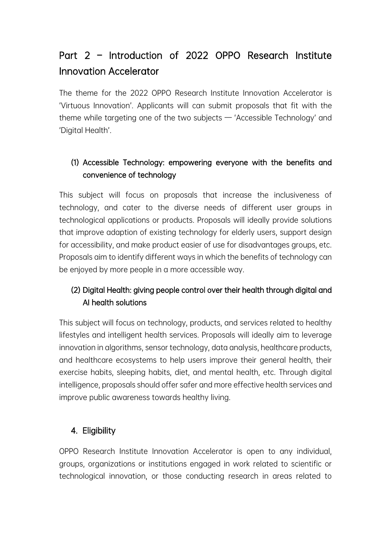## Part 2 – Introduction of 2022 OPPO Research Institute Innovation Accelerator

The theme for the 2022 OPPO Research Institute Innovation Accelerator is 'Virtuous Innovation'. Applicants will can submit proposals that fit with the theme while targeting one of the two subjects — 'Accessible Technology' and 'Digital Health'.

## (1) Accessible Technology: empowering everyone with the benefits and convenience of technology

This subject will focus on proposals that increase the inclusiveness of technology, and cater to the diverse needs of different user groups in technological applications or products. Proposals will ideally provide solutions that improve adaption of existing technology for elderly users, support design for accessibility, and make product easier of use for disadvantages groups, etc. Proposals aim to identify different ways in which the benefits of technology can be enjoyed by more people in a more accessible way.

### (2) Digital Health: giving people control over their health through digital and AI health solutions

This subject will focus on technology, products, and services related to healthy lifestyles and intelligent health services. Proposals will ideally aim to leverage innovation in algorithms, sensor technology, data analysis, healthcare products, and healthcare ecosystems to help users improve their general health, their exercise habits, sleeping habits, diet, and mental health, etc. Through digital intelligence, proposals should offer safer and more effective health services and improve public awareness towards healthy living.

### 4. Eligibility

OPPO Research Institute Innovation Accelerator is open to any individual, groups, organizations or institutions engaged in work related to scientific or technological innovation, or those conducting research in areas related to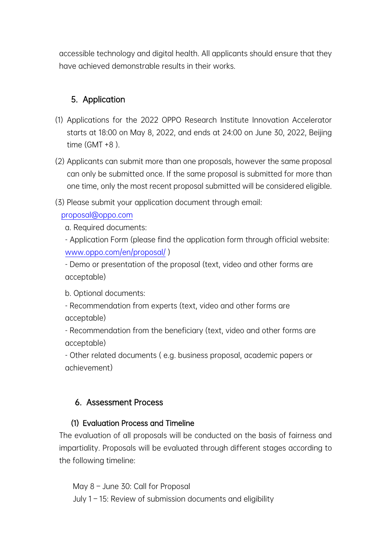accessible technology and digital health. All applicants should ensure that they have achieved demonstrable results in their works.

### 5. Application

- (1) Applications for the 2022 OPPO Research Institute Innovation Accelerator starts at 18:00 on May 8, 2022, and ends at 24:00 on June 30, 2022, Beijing time  $(GMT + 8)$ .
- (2) Applicants can submit more than one proposals, however the same proposal can only be submitted once. If the same proposal is submitted for more than one time, only the most recent proposal submitted will be considered eligible.
- (3) Please submit your application document through email:

proposal@oppo.com

a. Required documents:

- Application Form (please find the application form through official website: www.oppo.com/en/proposal/ )

- Demo or presentation of the proposal (text, video and other forms are acceptable)

b. Optional documents:

- Recommendation from experts (text, video and other forms are acceptable)

- Recommendation from the beneficiary (text, video and other forms are acceptable)

- Other related documents ( e.g. business proposal, academic papers or achievement)

#### 6. Assessment Process

#### (1) Evaluation Process and Timeline

The evaluation of all proposals will be conducted on the basis of fairness and impartiality. Proposals will be evaluated through different stages according to the following timeline:

May 8 – June 30: Call for Proposal July 1 – 15: Review of submission documents and eligibility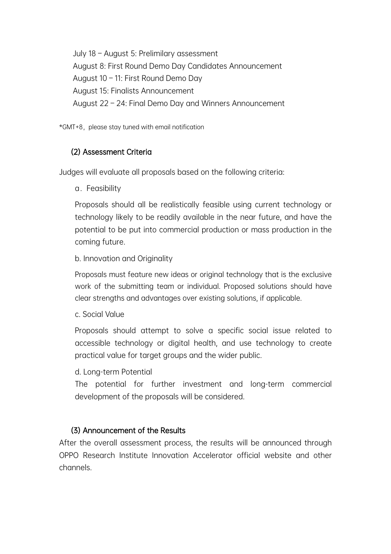July 18 – August 5: Prelimilary assessment August 8: First Round Demo Day Candidates Announcement August 10 – 11: First Round Demo Day August 15: Finalists Announcement August 22 – 24: Final Demo Day and Winners Announcement

\*GMT+8, please stay tuned with email notification

#### (2) Assessment Criteria

Judges will evaluate all proposals based on the following criteria:

a.Feasibility

Proposals should all be realistically feasible using current technology or technology likely to be readily available in the near future, and have the potential to be put into commercial production or mass production in the coming future.

b. Innovation and Originality

Proposals must feature new ideas or original technology that is the exclusive work of the submitting team or individual. Proposed solutions should have clear strengths and advantages over existing solutions, if applicable.

c. Social Value

Proposals should attempt to solve a specific social issue related to accessible technology or digital health, and use technology to create practical value for target groups and the wider public.

d. Long-term Potential

The potential for further investment and long-term commercial development of the proposals will be considered.

#### (3) Announcement of the Results

After the overall assessment process, the results will be announced through OPPO Research Institute Innovation Accelerator official website and other channels.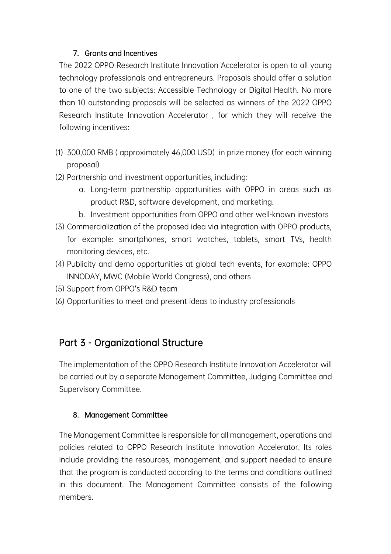#### 7. Grants and Incentives

The 2022 OPPO Research Institute Innovation Accelerator is open to all young technology professionals and entrepreneurs. Proposals should offer a solution to one of the two subjects: Accessible Technology or Digital Health. No more than 10 outstanding proposals will be selected as winners of the 2022 OPPO Research Institute Innovation Accelerator , for which they will receive the following incentives:

- (1) 300,000 RMB ( approximately 46,000 USD) in prize money (for each winning proposal)
- (2) Partnership and investment opportunities, including:
	- a. Long-term partnership opportunities with OPPO in areas such as product R&D, software development, and marketing.
	- b. Investment opportunities from OPPO and other well-known investors
- (3) Commercialization of the proposed idea via integration with OPPO products, for example: smartphones, smart watches, tablets, smart TVs, health monitoring devices, etc.
- (4) Publicity and demo opportunities at global tech events, for example: OPPO INNODAY, MWC (Mobile World Congress), and others
- (5) Support from OPPO's R&D team
- (6) Opportunities to meet and present ideas to industry professionals

## Part 3 - Organizational Structure

The implementation of the OPPO Research Institute Innovation Accelerator will be carried out by a separate Management Committee, Judging Committee and Supervisory Committee.

#### 8. Management Committee

The Management Committee is responsible for all management, operations and policies related to OPPO Research Institute Innovation Accelerator. Its roles include providing the resources, management, and support needed to ensure that the program is conducted according to the terms and conditions outlined in this document. The Management Committee consists of the following members.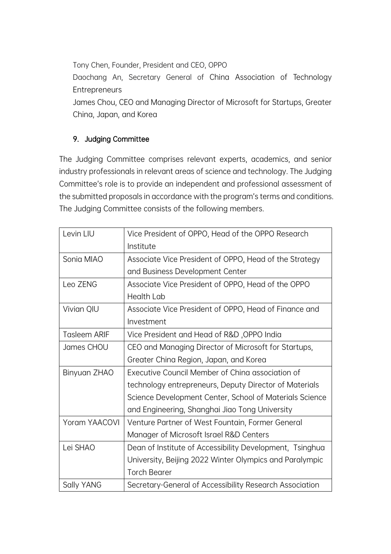Tony Chen, Founder, President and CEO, OPPO Daochang An, Secretary General of China Association of Technology **Entrepreneurs** James Chou, CEO and Managing Director of Microsoft for Startups, Greater China, Japan, and Korea

#### 9. Judging Committee

The Judging Committee comprises relevant experts, academics, and senior industry professionals in relevant areas of science and technology. The Judging Committee's role is to provide an independent and professional assessment of the submitted proposals in accordance with the program's terms and conditions. The Judging Committee consists of the following members.

| Levin LIU            | Vice President of OPPO, Head of the OPPO Research        |
|----------------------|----------------------------------------------------------|
|                      | Institute                                                |
| Sonia MIAO           | Associate Vice President of OPPO, Head of the Strategy   |
|                      | and Business Development Center                          |
| Leo ZENG             | Associate Vice President of OPPO, Head of the OPPO       |
|                      | <b>Health Lab</b>                                        |
| Vivian QIU           | Associate Vice President of OPPO, Head of Finance and    |
|                      | Investment                                               |
| <b>Tasleem ARIF</b>  | Vice President and Head of R&D, OPPO India               |
| James CHOU           | CEO and Managing Director of Microsoft for Startups,     |
|                      | Greater China Region, Japan, and Korea                   |
| Binyuan ZHAO         | Executive Council Member of Ching association of         |
|                      | technology entrepreneurs, Deputy Director of Materials   |
|                      | Science Development Center, School of Materials Science  |
|                      | and Engineering, Shanghai Jiao Tong University           |
| <b>Yoram YAACOVI</b> | Venture Partner of West Fountain, Former General         |
|                      | Manager of Microsoft Israel R&D Centers                  |
| Lei SHAO             | Dean of Institute of Accessibility Development, Tsinghua |
|                      | University, Beijing 2022 Winter Olympics and Paralympic  |
|                      | <b>Torch Bearer</b>                                      |
| Sally YANG           | Secretary-General of Accessibility Research Association  |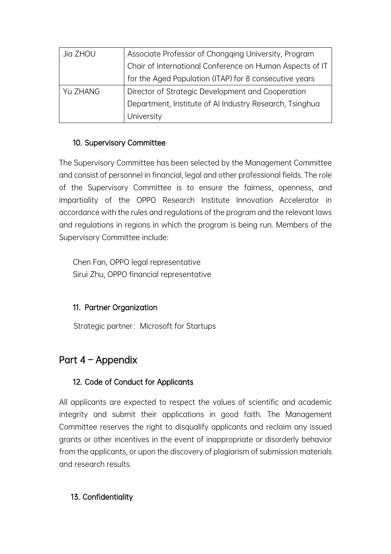| Jia ZHOU | Associate Professor of Chongqing University, Program     |
|----------|----------------------------------------------------------|
|          | Chair of International Conference on Human Aspects of IT |
|          | for the Aged Population (ITAP) for 8 consecutive years   |
| Yu ZHANG | Director of Strategic Development and Cooperation        |
|          | Department, Institute of AI Industry Research, Tsinghua  |
|          | University                                               |

#### 10. Supervisory Committee

The Supervisory Committee has been selected by the Management Committee and consist of personnel in financial, legal and other professional fields. The role of the Supervisory Committee is to ensure the fairness, openness, and impartiality of the OPPO Research Institute Innovation Accelerator in accordance with the rules and regulations of the program and the relevant laws and regulations in regions in which the program is being run. Members of the Supervisory Committee include:

Chen Fan, OPPO legal representative Sirui Zhu, OPPO financial representative

#### 11. Partner Organization

Strategic partner: Microsoft for Startups

## Part 4 – Appendix

#### 12. Code of Conduct for Applicants

All applicants are expected to respect the values of scientific and academic integrity and submit their applications in good faith. The Management Committee reserves the right to disqualify applicants and reclaim any issued grants or other incentives in the event of inappropriate or disorderly behavior from the applicants, or upon the discovery of plagiarism of submission materials and research results.

#### 13. Confidentiality